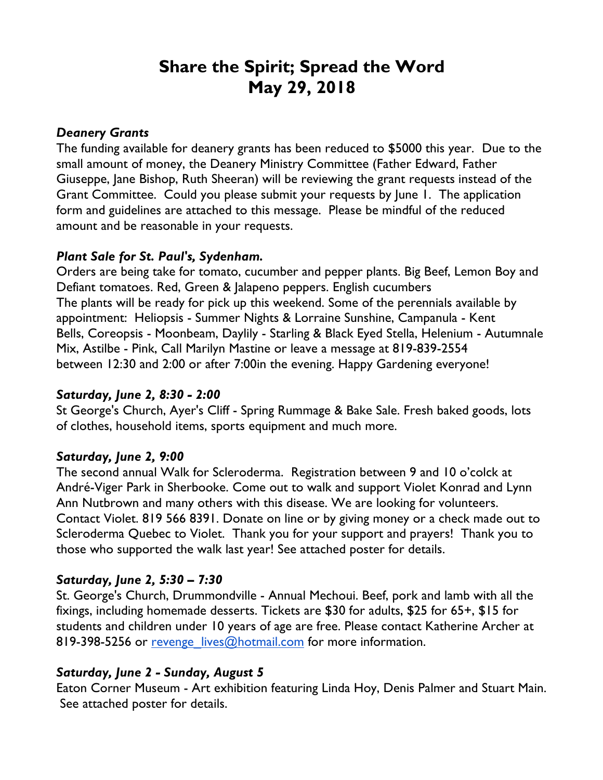# **Share the Spirit; Spread the Word May 29, 2018**

#### *Deanery Grants*

The funding available for deanery grants has been reduced to \$5000 this year. Due to the small amount of money, the Deanery Ministry Committee (Father Edward, Father Giuseppe, Jane Bishop, Ruth Sheeran) will be reviewing the grant requests instead of the Grant Committee. Could you please submit your requests by June 1. The application form and guidelines are attached to this message. Please be mindful of the reduced amount and be reasonable in your requests.

#### *Plant Sale for St. Paul's, Sydenham.*

Orders are being take for tomato, cucumber and pepper plants. Big Beef, Lemon Boy and Defiant tomatoes. Red, Green & Jalapeno peppers. English cucumbers The plants will be ready for pick up this weekend. Some of the perennials available by appointment: Heliopsis - Summer Nights & Lorraine Sunshine, Campanula - Kent Bells, Coreopsis - Moonbeam, Daylily - Starling & Black Eyed Stella, Helenium - Autumnale Mix, Astilbe - Pink, Call Marilyn Mastine or leave a message at 819-839-2554 between 12:30 and 2:00 or after 7:00in the evening. Happy Gardening everyone!

#### *Saturday, June 2, 8:30 - 2:00*

St George's Church, Ayer's Cliff - Spring Rummage & Bake Sale. Fresh baked goods, lots of clothes, household items, sports equipment and much more.

## *Saturday, June 2, 9:00*

The second annual Walk for Scleroderma. Registration between 9 and 10 o'colck at André-Viger Park in Sherbooke. Come out to walk and support Violet Konrad and Lynn Ann Nutbrown and many others with this disease. We are looking for volunteers. Contact Violet. 819 566 8391. Donate on line or by giving money or a check made out to Scleroderma Quebec to Violet. Thank you for your support and prayers! Thank you to those who supported the walk last year! See attached poster for details.

## *Saturday, June 2, 5:30 – 7:30*

St. George's Church, Drummondville - Annual Mechoui. Beef, pork and lamb with all the fixings, including homemade desserts. Tickets are \$30 for adults, \$25 for 65+, \$15 for students and children under 10 years of age are free. Please contact Katherine Archer at 819-398-5256 or revenge lives@hotmail.com for more information.

## *Saturday, June 2 - Sunday, August 5*

Eaton Corner Museum - Art exhibition featuring Linda Hoy, Denis Palmer and Stuart Main. See attached poster for details.